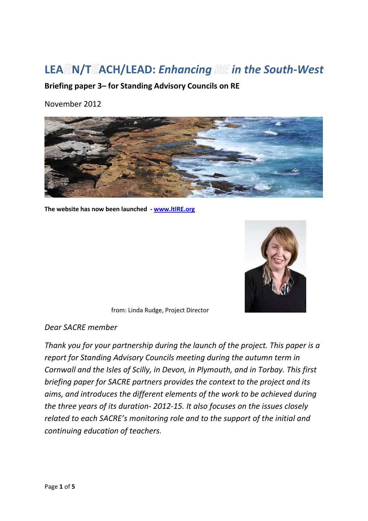# **LEA N/T ACH/LEAD:** *Enhancing in the South-West*

**Briefing paper 3– for Standing Advisory Councils on RE**

November 2012



**The website has now been launched - www.ltlRE.org**



from: Linda Rudge, Project Director

*Dear SACRE member* 

*Thank you for your partnership during the launch of the project. This paper is a report for Standing Advisory Councils meeting during the autumn term in Cornwall and the Isles of Scilly, in Devon, in Plymouth, and in Torbay. This first briefing paper for SACRE partners provides the context to the project and its aims, and introduces the different elements of the work to be achieved during the three years of its duration- 2012-15. It also focuses on the issues closely related to each SACRE's monitoring role and to the support of the initial and continuing education of teachers.*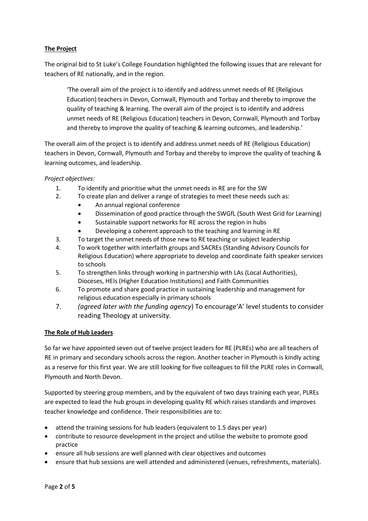# **The Project**

The original bid to St Luke's College Foundation highlighted the following issues that are relevant for teachers of RE nationally, and in the region.

'The overall aim of the project is to identify and address unmet needs of RE (Religious Education) teachers in Devon, Cornwall, Plymouth and Torbay and thereby to improve the quality of teaching & learning. The overall aim of the project is to identify and address unmet needs of RE (Religious Education) teachers in Devon, Cornwall, Plymouth and Torbay and thereby to improve the quality of teaching & learning outcomes, and leadership.'

The overall aim of the project is to identify and address unmet needs of RE (Religious Education) teachers in Devon, Cornwall, Plymouth and Torbay and thereby to improve the quality of teaching & learning outcomes, and leadership.

*Project objectives:* 

- 1. To identify and prioritise what the unmet needs in RE are for the SW
- 2. To create plan and deliver a range of strategies to meet these needs such as:
	- An annual regional conference
	- Dissemination of good practice through the SWGfL (South West Grid for Learning)
	- Sustainable support networks for RE across the region in hubs
	- Developing a coherent approach to the teaching and learning in RE
- 3. To target the unmet needs of those new to RE teaching or subject leadership
- 4. To work together with interfaith groups and SACREs (Standing Advisory Councils for Religious Education) where appropriate to develop and coordinate faith speaker services to schools
- 5. To strengthen links through working in partnership with LAs (Local Authorities), Dioceses, HEIs (Higher Education Institutions) and Faith Communities
- 6. To promote and share good practice in sustaining leadership and management for religious education especially in primary schools
- 7. *(agreed later with the funding agency*) To encourage'A' level students to consider reading Theology at university.

## **The Role of Hub Leaders**

So far we have appointed seven out of twelve project leaders for RE (PLREs) who are all teachers of RE in primary and secondary schools across the region. Another teacher in Plymouth is kindly acting as a reserve for this first year. We are still looking for five colleagues to fill the PLRE roles in Cornwall, Plymouth and North Devon.

Supported by steering group members, and by the equivalent of two days training each year, PLREs are expected to lead the hub groups in developing quality RE which raises standards and improves teacher knowledge and confidence. Their responsibilities are to:

- attend the training sessions for hub leaders (equivalent to 1.5 days per year)
- contribute to resource development in the project and utilise the website to promote good practice
- ensure all hub sessions are well planned with clear objectives and outcomes
- ensure that hub sessions are well attended and administered (venues, refreshments, materials).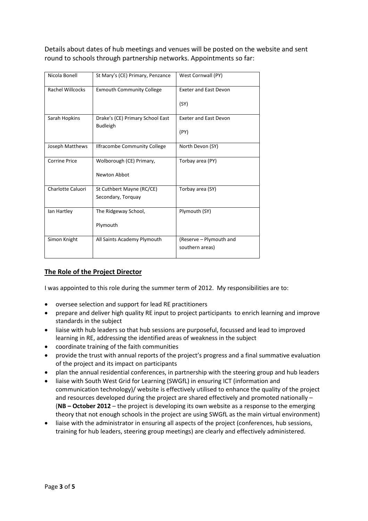Details about dates of hub meetings and venues will be posted on the website and sent round to schools through partnership networks. Appointments so far:

| Nicola Bonell        | St Mary's (CE) Primary, Penzance | West Cornwall (PY)                         |
|----------------------|----------------------------------|--------------------------------------------|
| Rachel Willcocks     | <b>Exmouth Community College</b> | <b>Exeter and East Devon</b>               |
|                      |                                  | (SY)                                       |
| Sarah Hopkins        | Drake's (CE) Primary School East | <b>Exeter and East Devon</b>               |
|                      | <b>Budleigh</b>                  | (PY)                                       |
| Joseph Matthews      | Ilfracombe Community College     | North Devon (SY)                           |
| <b>Corrine Price</b> | Wolborough (CE) Primary,         | Torbay area (PY)                           |
|                      | Newton Abbot                     |                                            |
| Charlotte Caluori    | St Cuthbert Mayne (RC/CE)        | Torbay area (SY)                           |
|                      | Secondary, Torquay               |                                            |
| lan Hartley          | The Ridgeway School,             | Plymouth (SY)                              |
|                      | Plymouth                         |                                            |
| Simon Knight         | All Saints Academy Plymouth      | (Reserve - Plymouth and<br>southern areas) |

# **The Role of the Project Director**

I was appointed to this role during the summer term of 2012. My responsibilities are to:

- oversee selection and support for lead RE practitioners
- prepare and deliver high quality RE input to project participants to enrich learning and improve standards in the subject
- liaise with hub leaders so that hub sessions are purposeful, focussed and lead to improved learning in RE, addressing the identified areas of weakness in the subject
- coordinate training of the faith communities
- provide the trust with annual reports of the project's progress and a final summative evaluation of the project and its impact on participants
- plan the annual residential conferences, in partnership with the steering group and hub leaders
- liaise with South West Grid for Learning (SWGfL) in ensuring ICT (information and communication technology)/ website is effectively utilised to enhance the quality of the project and resources developed during the project are shared effectively and promoted nationally – (**NB – October 2012** – the project is developing its own website as a response to the emerging theory that not enough schools in the project are using SWGfL as the main virtual environment)
- liaise with the administrator in ensuring all aspects of the project (conferences, hub sessions, training for hub leaders, steering group meetings) are clearly and effectively administered.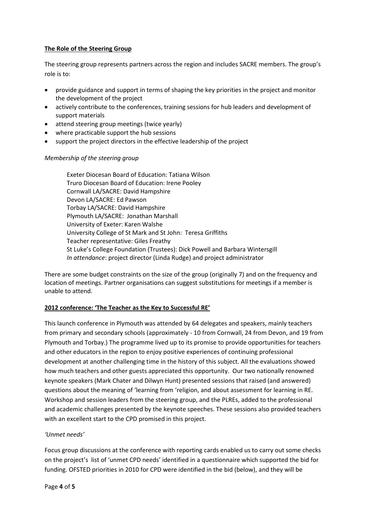## **The Role of the Steering Group**

The steering group represents partners across the region and includes SACRE members. The group's role is to:

- provide guidance and support in terms of shaping the key priorities in the project and monitor the development of the project
- actively contribute to the conferences, training sessions for hub leaders and development of support materials
- attend steering group meetings (twice yearly)
- where practicable support the hub sessions
- support the project directors in the effective leadership of the project

### *Membership of the steering group*

Exeter Diocesan Board of Education: Tatiana Wilson Truro Diocesan Board of Education: Irene Pooley Cornwall LA/SACRE: David Hampshire Devon LA/SACRE: Ed Pawson Torbay LA/SACRE: David Hampshire Plymouth LA/SACRE: Jonathan Marshall University of Exeter: Karen Walshe University College of St Mark and St John: Teresa Griffiths Teacher representative: Giles Freathy St Luke's College Foundation (Trustees): Dick Powell and Barbara Wintersgill *In attendance*: project director (Linda Rudge) and project administrator

There are some budget constraints on the size of the group (originally 7) and on the frequency and location of meetings. Partner organisations can suggest substitutions for meetings if a member is unable to attend.

### **2012 conference: 'The Teacher as the Key to Successful RE'**

This launch conference in Plymouth was attended by 64 delegates and speakers, mainly teachers from primary and secondary schools (approximately - 10 from Cornwall, 24 from Devon, and 19 from Plymouth and Torbay.) The programme lived up to its promise to provide opportunities for teachers and other educators in the region to enjoy positive experiences of continuing professional development at another challenging time in the history of this subject. All the evaluations showed how much teachers and other guests appreciated this opportunity. Our two nationally renowned keynote speakers (Mark Chater and Dilwyn Hunt) presented sessions that raised (and answered) questions about the meaning of 'learning from 'religion, and about assessment for learning in RE. Workshop and session leaders from the steering group, and the PLREs, added to the professional and academic challenges presented by the keynote speeches. These sessions also provided teachers with an excellent start to the CPD promised in this project.

### *'Unmet needs'*

Focus group discussions at the conference with reporting cards enabled us to carry out some checks on the project's list of 'unmet CPD needs' identified in a questionnaire which supported the bid for funding. OFSTED priorities in 2010 for CPD were identified in the bid (below), and they will be